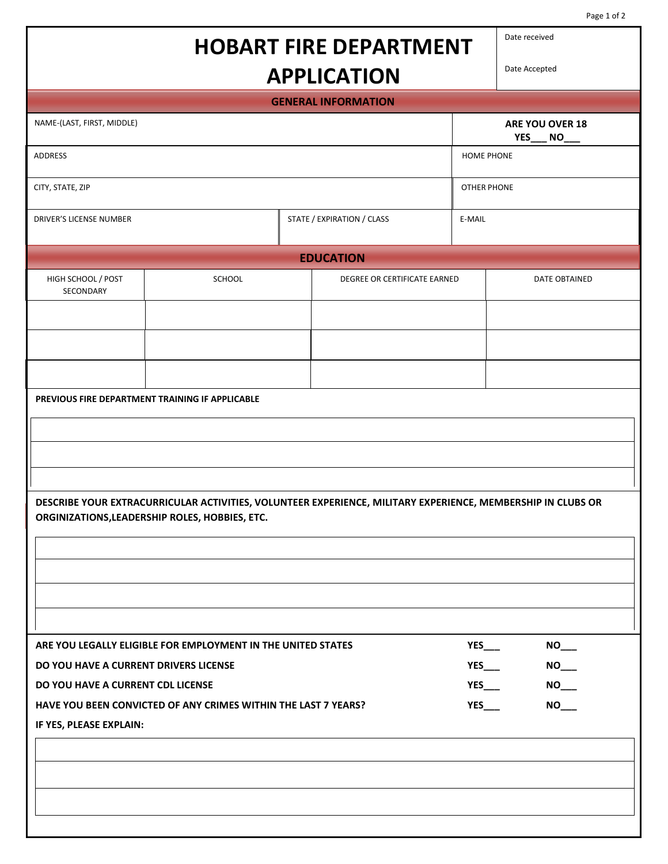## Page 1 of 2

## **HOBART FIRE DEPARTMENT**

## **APPLICATION**

Date Accepted

Date received

|                                                                                                                                                               |        |                            | AFFLIUATIUN                  |        |                                     |  |
|---------------------------------------------------------------------------------------------------------------------------------------------------------------|--------|----------------------------|------------------------------|--------|-------------------------------------|--|
| <b>GENERAL INFORMATION</b>                                                                                                                                    |        |                            |                              |        |                                     |  |
| NAME-(LAST, FIRST, MIDDLE)                                                                                                                                    |        |                            |                              |        | ARE YOU OVER 18<br>YES____<br>$NO_$ |  |
| <b>ADDRESS</b>                                                                                                                                                |        |                            |                              |        | <b>HOME PHONE</b>                   |  |
| CITY, STATE, ZIP                                                                                                                                              |        |                            |                              |        | <b>OTHER PHONE</b>                  |  |
| DRIVER'S LICENSE NUMBER                                                                                                                                       |        | STATE / EXPIRATION / CLASS |                              | E-MAIL |                                     |  |
| <b>EDUCATION</b>                                                                                                                                              |        |                            |                              |        |                                     |  |
| HIGH SCHOOL / POST<br>SECONDARY                                                                                                                               | SCHOOL |                            | DEGREE OR CERTIFICATE EARNED |        | DATE OBTAINED                       |  |
|                                                                                                                                                               |        |                            |                              |        |                                     |  |
|                                                                                                                                                               |        |                            |                              |        |                                     |  |
|                                                                                                                                                               |        |                            |                              |        |                                     |  |
| PREVIOUS FIRE DEPARTMENT TRAINING IF APPLICABLE                                                                                                               |        |                            |                              |        |                                     |  |
|                                                                                                                                                               |        |                            |                              |        |                                     |  |
|                                                                                                                                                               |        |                            |                              |        |                                     |  |
|                                                                                                                                                               |        |                            |                              |        |                                     |  |
| DESCRIBE YOUR EXTRACURRICULAR ACTIVITIES, VOLUNTEER EXPERIENCE, MILITARY EXPERIENCE, MEMBERSHIP IN CLUBS OR<br>ORGINIZATIONS, LEADERSHIP ROLES, HOBBIES, ETC. |        |                            |                              |        |                                     |  |
|                                                                                                                                                               |        |                            |                              |        |                                     |  |
|                                                                                                                                                               |        |                            |                              |        |                                     |  |
|                                                                                                                                                               |        |                            |                              |        |                                     |  |
|                                                                                                                                                               |        |                            |                              |        |                                     |  |
| ARE YOU LEGALLY ELIGIBLE FOR EMPLOYMENT IN THE UNITED STATES                                                                                                  |        |                            |                              |        | $YES$ <sub>___</sub><br>$NO_{---}$  |  |
| DO YOU HAVE A CURRENT DRIVERS LICENSE                                                                                                                         |        |                            |                              |        | $YES$ <sub>___</sub><br>$NO_{---}$  |  |
| DO YOU HAVE A CURRENT CDL LICENSE                                                                                                                             |        |                            |                              |        | $YES$ <sub>___</sub><br>$NO_{---}$  |  |
| HAVE YOU BEEN CONVICTED OF ANY CRIMES WITHIN THE LAST 7 YEARS?<br>YES<br>IF YES, PLEASE EXPLAIN:                                                              |        |                            |                              |        | $NO_{---}$                          |  |
|                                                                                                                                                               |        |                            |                              |        |                                     |  |
|                                                                                                                                                               |        |                            |                              |        |                                     |  |
|                                                                                                                                                               |        |                            |                              |        |                                     |  |
|                                                                                                                                                               |        |                            |                              |        |                                     |  |
|                                                                                                                                                               |        |                            |                              |        |                                     |  |